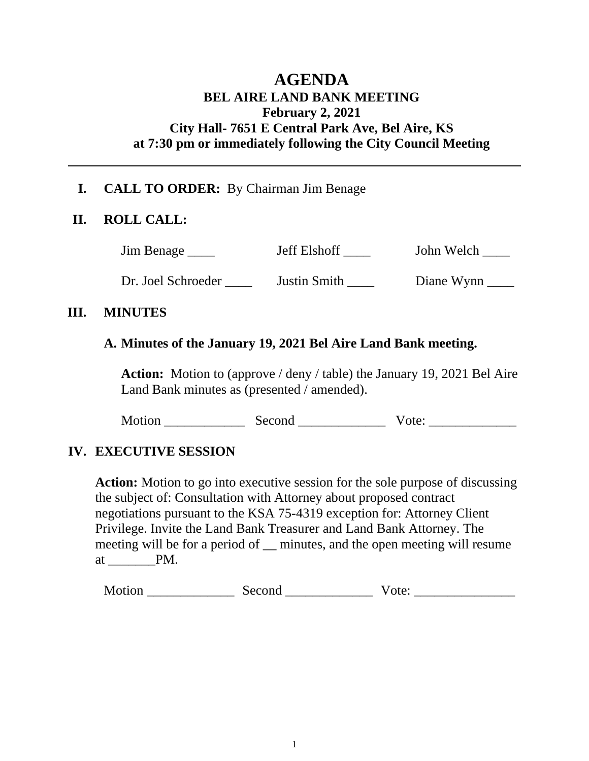# **AGENDA BEL AIRE LAND BANK MEETING February 2, 2021 City Hall- 7651 E Central Park Ave, Bel Aire, KS at 7:30 pm or immediately following the City Council Meeting**

## **I. CALL TO ORDER:** By Chairman Jim Benage

#### **II. ROLL CALL:**

Jim Benage \_\_\_\_ Jeff Elshoff \_\_\_\_ John Welch \_\_\_\_

Dr. Joel Schroeder \_\_\_\_\_ Justin Smith \_\_\_\_\_ Diane Wynn

#### **III. MINUTES**

### **A. Minutes of the January 19, 2021 Bel Aire Land Bank meeting.**

**Action:** Motion to (approve / deny / table) the January 19, 2021 Bel Aire Land Bank minutes as (presented / amended).

Motion Second Vote:

### **IV. EXECUTIVE SESSION**

**Action:** Motion to go into executive session for the sole purpose of discussing the subject of: Consultation with Attorney about proposed contract negotiations pursuant to the KSA 75-4319 exception for: Attorney Client Privilege. Invite the Land Bank Treasurer and Land Bank Attorney. The meeting will be for a period of \_\_ minutes, and the open meeting will resume at  $\rule{1em}{0.15mm}$   $\qquad$   $\qquad$   $\qquad$   $\qquad$   $\qquad$   $\qquad$   $\qquad$   $\qquad$   $\qquad$   $\qquad$   $\qquad$   $\qquad$   $\qquad$   $\qquad$   $\qquad$   $\qquad$   $\qquad$   $\qquad$   $\qquad$   $\qquad$   $\qquad$   $\qquad$   $\qquad$   $\qquad$   $\qquad$   $\qquad$   $\qquad$   $\qquad$   $\qquad$   $\qquad$   $\qquad$   $\qquad$   $\qquad$   $\qquad$ 

Motion \_\_\_\_\_\_\_\_\_\_\_\_\_ Second \_\_\_\_\_\_\_\_\_\_\_\_\_ Vote: \_\_\_\_\_\_\_\_\_\_\_\_\_\_\_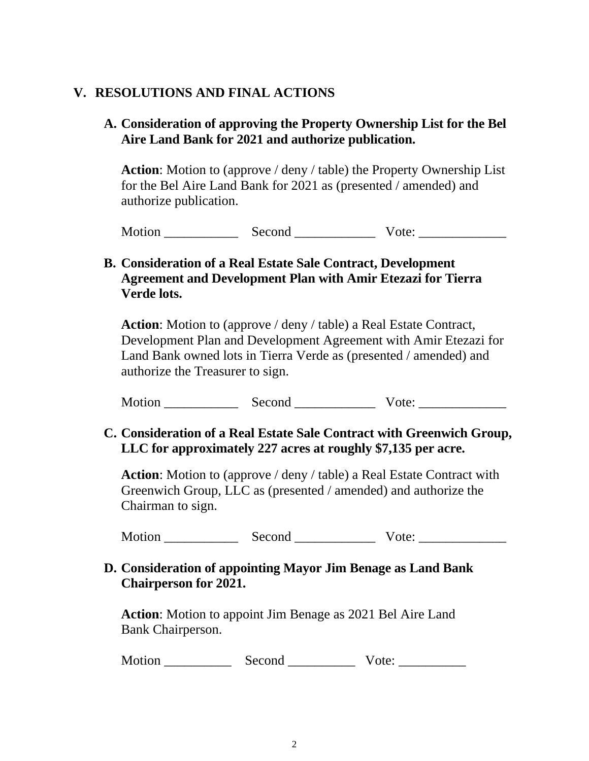## **V. RESOLUTIONS AND FINAL ACTIONS**

### **A. Consideration of approving the Property Ownership List for the Bel Aire Land Bank for 2021 and authorize publication.**

**Action**: Motion to (approve / deny / table) the Property Ownership List for the Bel Aire Land Bank for 2021 as (presented / amended) and authorize publication.

Motion Second Vote:

### **B. Consideration of a Real Estate Sale Contract, Development Agreement and Development Plan with Amir Etezazi for Tierra Verde lots.**

**Action**: Motion to (approve / deny / table) a Real Estate Contract, Development Plan and Development Agreement with Amir Etezazi for Land Bank owned lots in Tierra Verde as (presented / amended) and authorize the Treasurer to sign.

Motion Second Vote:

### **C. Consideration of a Real Estate Sale Contract with Greenwich Group, LLC for approximately 227 acres at roughly \$7,135 per acre.**

**Action**: Motion to (approve / deny / table) a Real Estate Contract with Greenwich Group, LLC as (presented / amended) and authorize the Chairman to sign.

Motion Second Vote:

### **D. Consideration of appointing Mayor Jim Benage as Land Bank Chairperson for 2021.**

**Action**: Motion to appoint Jim Benage as 2021 Bel Aire Land Bank Chairperson.

Motion \_\_\_\_\_\_\_\_\_\_ Second \_\_\_\_\_\_\_\_\_\_ Vote: \_\_\_\_\_\_\_\_\_\_